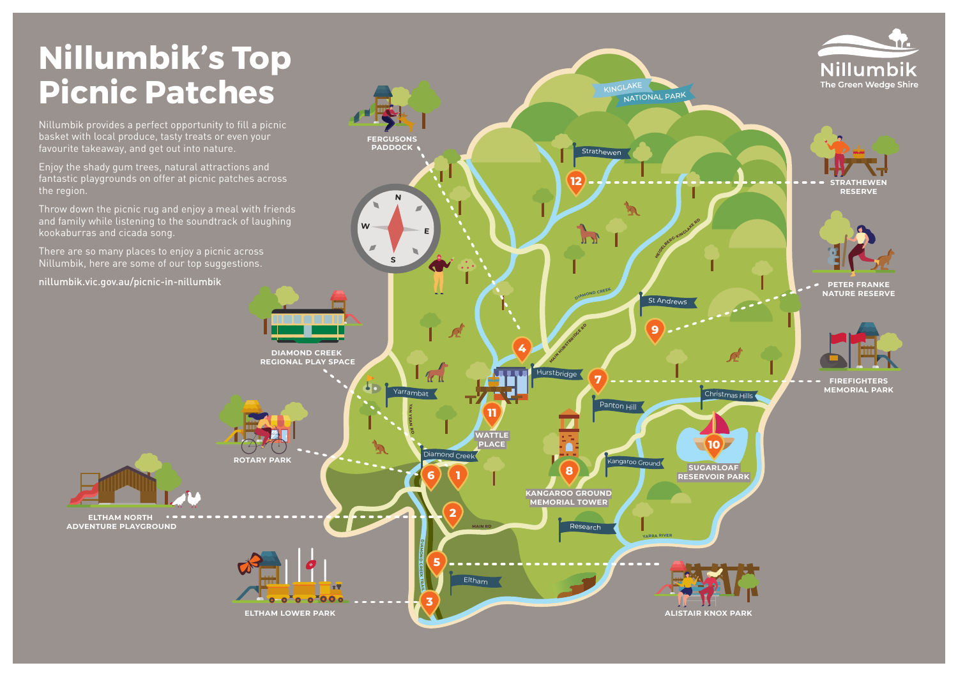## **Nillumbik's Top Picnic Patches**

Nillumbik provides a perfect opportunity to fill a picnic basket with local produce, tasty treats or even your favourite takeaway, and get out into nature.

Enjoy the shady gum trees, natural attractions and fantastic playgrounds on offer at picnic patches across the region.

Throw down the picnic rug and enjoy a meal with friends and family while listening to the soundtrack of laughing kookaburras and cicada song.

There are so many places to enjoy a picnic across Nillumbik, here are some of our top suggestions.

nillumbik.vic.gov.au/picnic-in-nillumbik